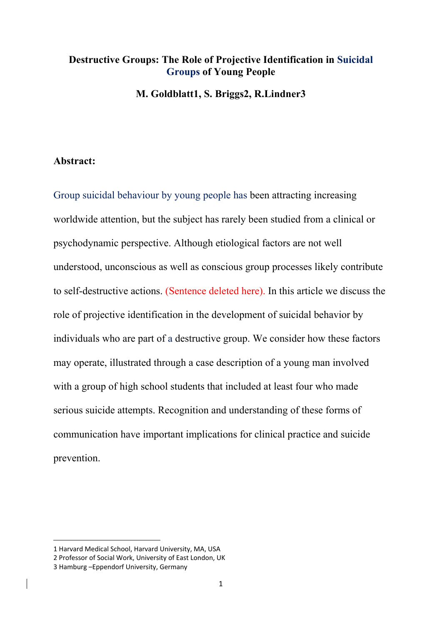# **Destructive Groups: The Role of Projective Identification in Suicidal Groups of Young People**

**M. Goldblatt1, S. Briggs2, R.Lindner3**

## **Abstract:**

Group suicidal behaviour by young people has been attracting increasing worldwide attention, but the subject has rarely been studied from a clinical or psychodynamic perspective. Although etiological factors are not well understood, unconscious as well as conscious group processes likely contribute to self-destructive actions. (Sentence deleted here). In this article we discuss the role of projective identification in the development of suicidal behavior by individuals who are part of a destructive group. We consider how these factors may operate, illustrated through a case description of a young man involved with a group of high school students that included at least four who made serious suicide attempts. Recognition and understanding of these forms of communication have important implications for clinical practice and suicide prevention.

<sup>1</sup> Harvard Medical School, Harvard University, MA, USA

<sup>2</sup> Professor of Social Work, University of East London, UK

<sup>3</sup> Hamburg –Eppendorf University, Germany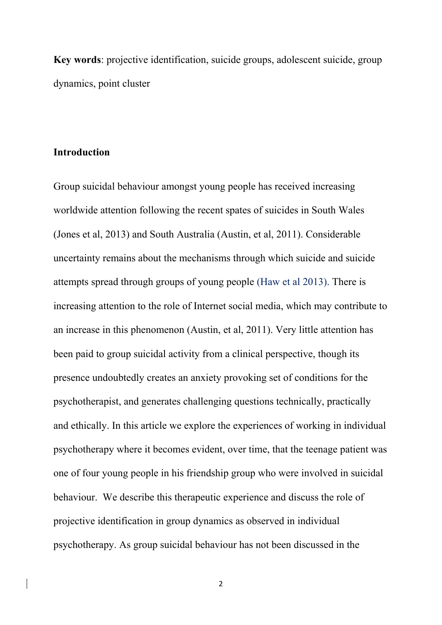**Key words**: projective identification, suicide groups, adolescent suicide, group dynamics, point cluster

# **Introduction**

Group suicidal behaviour amongst young people has received increasing worldwide attention following the recent spates of suicides in South Wales (Jones et al, 2013) and South Australia (Austin, et al, 2011). Considerable uncertainty remains about the mechanisms through which suicide and suicide attempts spread through groups of young people (Haw et al 2013). There is increasing attention to the role of Internet social media, which may contribute to an increase in this phenomenon (Austin, et al, 2011). Very little attention has been paid to group suicidal activity from a clinical perspective, though its presence undoubtedly creates an anxiety provoking set of conditions for the psychotherapist, and generates challenging questions technically, practically and ethically. In this article we explore the experiences of working in individual psychotherapy where it becomes evident, over time, that the teenage patient was one of four young people in his friendship group who were involved in suicidal behaviour. We describe this therapeutic experience and discuss the role of projective identification in group dynamics as observed in individual psychotherapy. As group suicidal behaviour has not been discussed in the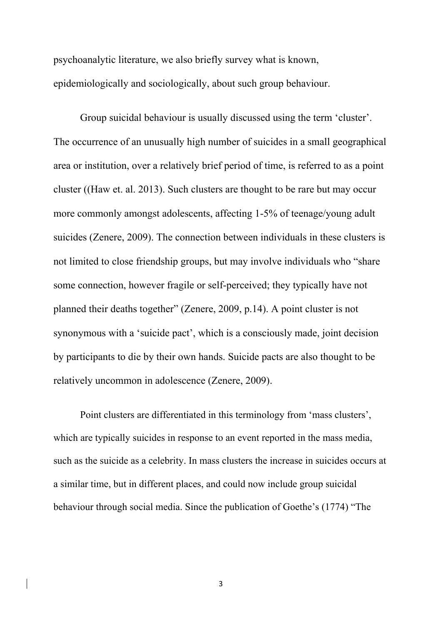psychoanalytic literature, we also briefly survey what is known, epidemiologically and sociologically, about such group behaviour.

 Group suicidal behaviour is usually discussed using the term 'cluster'. The occurrence of an unusually high number of suicides in a small geographical area or institution, over a relatively brief period of time, is referred to as a point cluster ((Haw et. al. 2013). Such clusters are thought to be rare but may occur more commonly amongst adolescents, affecting 1-5% of teenage/young adult suicides (Zenere, 2009). The connection between individuals in these clusters is not limited to close friendship groups, but may involve individuals who "share some connection, however fragile or self-perceived; they typically have not planned their deaths together" (Zenere, 2009, p.14). A point cluster is not synonymous with a 'suicide pact', which is a consciously made, joint decision by participants to die by their own hands. Suicide pacts are also thought to be relatively uncommon in adolescence (Zenere, 2009).

 Point clusters are differentiated in this terminology from 'mass clusters', which are typically suicides in response to an event reported in the mass media, such as the suicide as a celebrity. In mass clusters the increase in suicides occurs at a similar time, but in different places, and could now include group suicidal behaviour through social media. Since the publication of Goethe's (1774) "The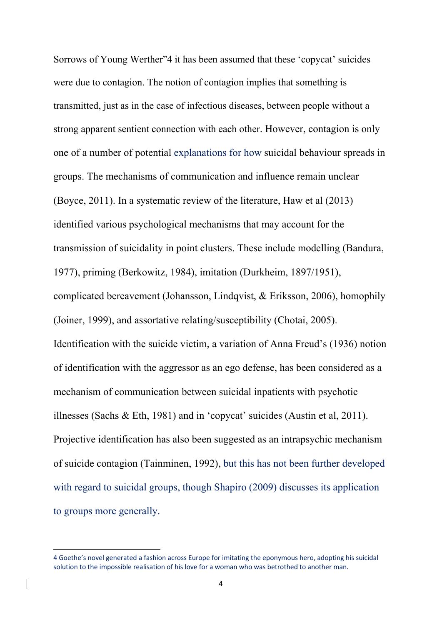Sorrows of Young Werther"4 it has been assumed that these 'copycat' suicides were due to contagion. The notion of contagion implies that something is transmitted, just as in the case of infectious diseases, between people without a strong apparent sentient connection with each other. However, contagion is only one of a number of potential explanations for how suicidal behaviour spreads in groups. The mechanisms of communication and influence remain unclear (Boyce, 2011). In a systematic review of the literature, Haw et al (2013) identified various psychological mechanisms that may account for the transmission of suicidality in point clusters. These include modelling (Bandura, 1977), priming (Berkowitz, 1984), imitation (Durkheim, 1897/1951), complicated bereavement (Johansson, Lindqvist, & Eriksson, 2006), homophily (Joiner, 1999), and assortative relating/susceptibility (Chotai, 2005). Identification with the suicide victim, a variation of Anna Freud's (1936) notion of identification with the aggressor as an ego defense, has been considered as a mechanism of communication between suicidal inpatients with psychotic illnesses (Sachs & Eth, 1981) and in 'copycat' suicides (Austin et al, 2011). Projective identification has also been suggested as an intrapsychic mechanism of suicide contagion (Tainminen, 1992), but this has not been further developed with regard to suicidal groups, though Shapiro (2009) discusses its application to groups more generally.

<sup>4</sup> Goethe's novel generated a fashion across Europe for imitating the eponymous hero, adopting his suicidal solution to the impossible realisation of his love for a woman who was betrothed to another man.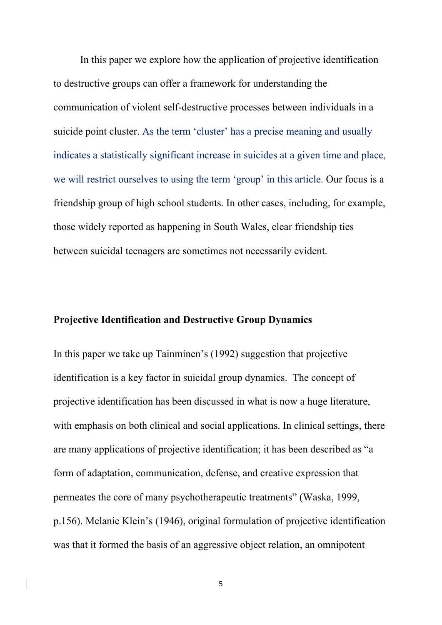In this paper we explore how the application of projective identification to destructive groups can offer a framework for understanding the communication of violent self-destructive processes between individuals in a suicide point cluster. As the term 'cluster' has a precise meaning and usually indicates a statistically significant increase in suicides at a given time and place, we will restrict ourselves to using the term 'group' in this article. Our focus is a friendship group of high school students. In other cases, including, for example, those widely reported as happening in South Wales, clear friendship ties between suicidal teenagers are sometimes not necessarily evident.

## **Projective Identification and Destructive Group Dynamics**

In this paper we take up Tainminen's (1992) suggestion that projective identification is a key factor in suicidal group dynamics. The concept of projective identification has been discussed in what is now a huge literature, with emphasis on both clinical and social applications. In clinical settings, there are many applications of projective identification; it has been described as "a form of adaptation, communication, defense, and creative expression that permeates the core of many psychotherapeutic treatments" (Waska, 1999, p.156). Melanie Klein's (1946), original formulation of projective identification was that it formed the basis of an aggressive object relation, an omnipotent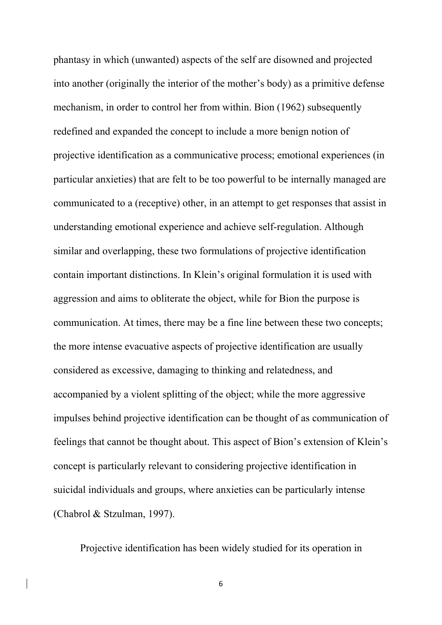phantasy in which (unwanted) aspects of the self are disowned and projected into another (originally the interior of the mother's body) as a primitive defense mechanism, in order to control her from within. Bion (1962) subsequently redefined and expanded the concept to include a more benign notion of projective identification as a communicative process; emotional experiences (in particular anxieties) that are felt to be too powerful to be internally managed are communicated to a (receptive) other, in an attempt to get responses that assist in understanding emotional experience and achieve self-regulation. Although similar and overlapping, these two formulations of projective identification contain important distinctions. In Klein's original formulation it is used with aggression and aims to obliterate the object, while for Bion the purpose is communication. At times, there may be a fine line between these two concepts; the more intense evacuative aspects of projective identification are usually considered as excessive, damaging to thinking and relatedness, and accompanied by a violent splitting of the object; while the more aggressive impulses behind projective identification can be thought of as communication of feelings that cannot be thought about. This aspect of Bion's extension of Klein's concept is particularly relevant to considering projective identification in suicidal individuals and groups, where anxieties can be particularly intense (Chabrol & Stzulman, 1997).

Projective identification has been widely studied for its operation in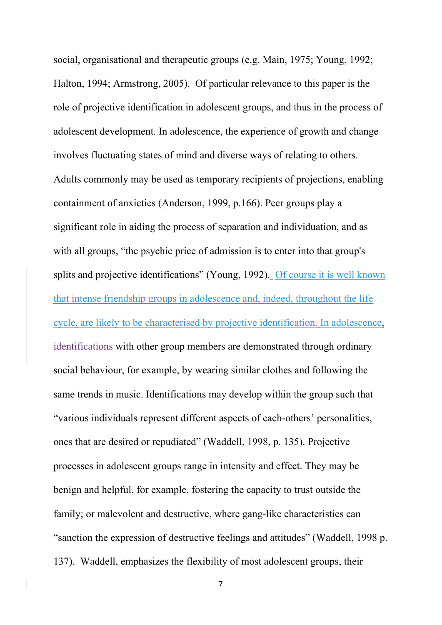social, organisational and therapeutic groups (e.g. Main, 1975; Young, 1992; Halton, 1994; Armstrong, 2005). Of particular relevance to this paper is the role of projective identification in adolescent groups, and thus in the process of adolescent development. In adolescence, the experience of growth and change involves fluctuating states of mind and diverse ways of relating to others. Adults commonly may be used as temporary recipients of projections, enabling containment of anxieties (Anderson, 1999, p.166). Peer groups play a significant role in aiding the process of separation and individuation, and as with all groups, "the psychic price of admission is to enter into that group's splits and projective identifications" (Young, 1992). Of course it is well known that intense friendship groups in adolescence and, indeed, throughout the life cycle, are likely to be characterised by projective identification. In adolescence, identifications with other group members are demonstrated through ordinary social behaviour, for example, by wearing similar clothes and following the same trends in music. Identifications may develop within the group such that "various individuals represent different aspects of each-others' personalities, ones that are desired or repudiated" (Waddell, 1998, p. 135). Projective processes in adolescent groups range in intensity and effect. They may be benign and helpful, for example, fostering the capacity to trust outside the family; or malevolent and destructive, where gang-like characteristics can "sanction the expression of destructive feelings and attitudes" (Waddell, 1998 p. 137). Waddell, emphasizes the flexibility of most adolescent groups, their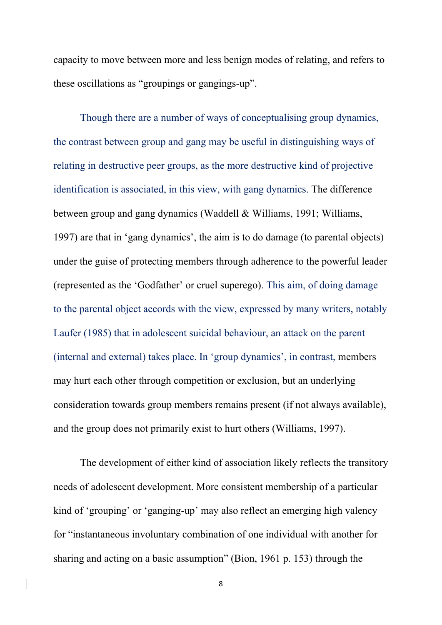capacity to move between more and less benign modes of relating, and refers to these oscillations as "groupings or gangings-up".

Though there are a number of ways of conceptualising group dynamics, the contrast between group and gang may be useful in distinguishing ways of relating in destructive peer groups, as the more destructive kind of projective identification is associated, in this view, with gang dynamics. The difference between group and gang dynamics (Waddell & Williams, 1991; Williams, 1997) are that in 'gang dynamics', the aim is to do damage (to parental objects) under the guise of protecting members through adherence to the powerful leader (represented as the 'Godfather' or cruel superego). This aim, of doing damage to the parental object accords with the view, expressed by many writers, notably Laufer (1985) that in adolescent suicidal behaviour, an attack on the parent (internal and external) takes place. In 'group dynamics', in contrast, members may hurt each other through competition or exclusion, but an underlying consideration towards group members remains present (if not always available), and the group does not primarily exist to hurt others (Williams, 1997).

 The development of either kind of association likely reflects the transitory needs of adolescent development. More consistent membership of a particular kind of 'grouping' or 'ganging-up' may also reflect an emerging high valency for "instantaneous involuntary combination of one individual with another for sharing and acting on a basic assumption" (Bion, 1961 p. 153) through the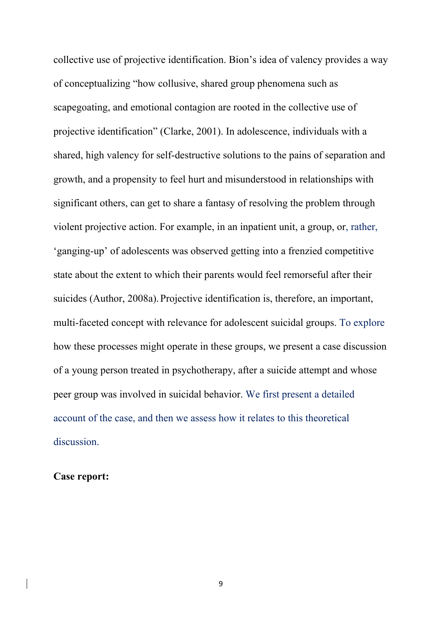collective use of projective identification. Bion's idea of valency provides a way of conceptualizing "how collusive, shared group phenomena such as scapegoating, and emotional contagion are rooted in the collective use of projective identification" (Clarke, 2001). In adolescence, individuals with a shared, high valency for self-destructive solutions to the pains of separation and growth, and a propensity to feel hurt and misunderstood in relationships with significant others, can get to share a fantasy of resolving the problem through violent projective action. For example, in an inpatient unit, a group, or, rather, 'ganging-up' of adolescents was observed getting into a frenzied competitive state about the extent to which their parents would feel remorseful after their suicides (Author, 2008a). Projective identification is, therefore, an important, multi-faceted concept with relevance for adolescent suicidal groups. To explore how these processes might operate in these groups, we present a case discussion of a young person treated in psychotherapy, after a suicide attempt and whose peer group was involved in suicidal behavior. We first present a detailed account of the case, and then we assess how it relates to this theoretical discussion.

**Case report:**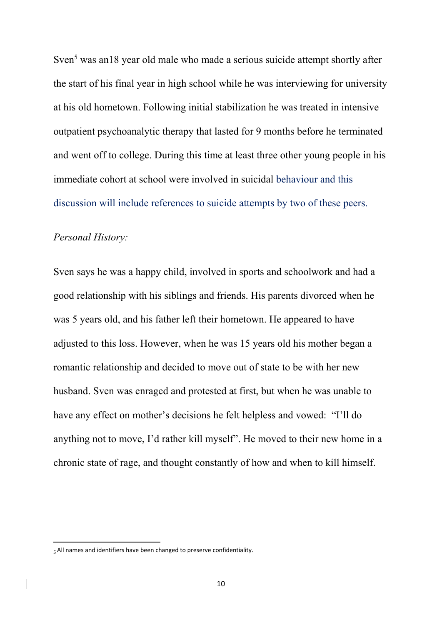Sven<sup>5</sup> was an18 year old male who made a serious suicide attempt shortly after the start of his final year in high school while he was interviewing for university at his old hometown. Following initial stabilization he was treated in intensive outpatient psychoanalytic therapy that lasted for 9 months before he terminated and went off to college. During this time at least three other young people in his immediate cohort at school were involved in suicidal behaviour and this discussion will include references to suicide attempts by two of these peers.

## *Personal History:*

Sven says he was a happy child, involved in sports and schoolwork and had a good relationship with his siblings and friends. His parents divorced when he was 5 years old, and his father left their hometown. He appeared to have adjusted to this loss. However, when he was 15 years old his mother began a romantic relationship and decided to move out of state to be with her new husband. Sven was enraged and protested at first, but when he was unable to have any effect on mother's decisions he felt helpless and vowed: "I'll do anything not to move, I'd rather kill myself". He moved to their new home in a chronic state of rage, and thought constantly of how and when to kill himself.

<sup>5</sup>All names and identifiers have been changed to preserve confidentiality.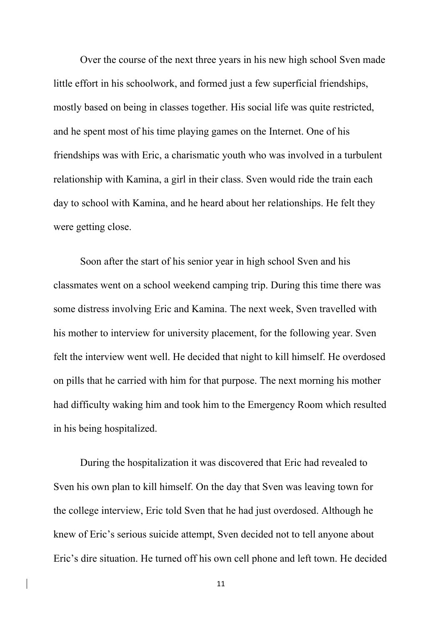Over the course of the next three years in his new high school Sven made little effort in his schoolwork, and formed just a few superficial friendships, mostly based on being in classes together. His social life was quite restricted, and he spent most of his time playing games on the Internet. One of his friendships was with Eric, a charismatic youth who was involved in a turbulent relationship with Kamina, a girl in their class. Sven would ride the train each day to school with Kamina, and he heard about her relationships. He felt they were getting close.

 Soon after the start of his senior year in high school Sven and his classmates went on a school weekend camping trip. During this time there was some distress involving Eric and Kamina. The next week, Sven travelled with his mother to interview for university placement, for the following year. Sven felt the interview went well. He decided that night to kill himself. He overdosed on pills that he carried with him for that purpose. The next morning his mother had difficulty waking him and took him to the Emergency Room which resulted in his being hospitalized.

 During the hospitalization it was discovered that Eric had revealed to Sven his own plan to kill himself. On the day that Sven was leaving town for the college interview, Eric told Sven that he had just overdosed. Although he knew of Eric's serious suicide attempt, Sven decided not to tell anyone about Eric's dire situation. He turned off his own cell phone and left town. He decided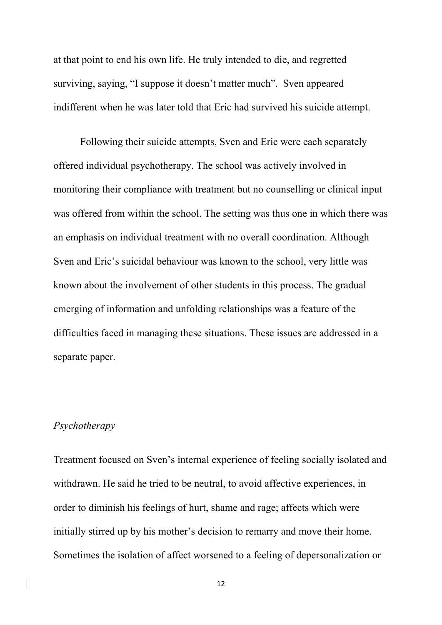at that point to end his own life. He truly intended to die, and regretted surviving, saying, "I suppose it doesn't matter much". Sven appeared indifferent when he was later told that Eric had survived his suicide attempt.

 Following their suicide attempts, Sven and Eric were each separately offered individual psychotherapy. The school was actively involved in monitoring their compliance with treatment but no counselling or clinical input was offered from within the school. The setting was thus one in which there was an emphasis on individual treatment with no overall coordination. Although Sven and Eric's suicidal behaviour was known to the school, very little was known about the involvement of other students in this process. The gradual emerging of information and unfolding relationships was a feature of the difficulties faced in managing these situations. These issues are addressed in a separate paper.

#### *Psychotherapy*

Treatment focused on Sven's internal experience of feeling socially isolated and withdrawn. He said he tried to be neutral, to avoid affective experiences, in order to diminish his feelings of hurt, shame and rage; affects which were initially stirred up by his mother's decision to remarry and move their home. Sometimes the isolation of affect worsened to a feeling of depersonalization or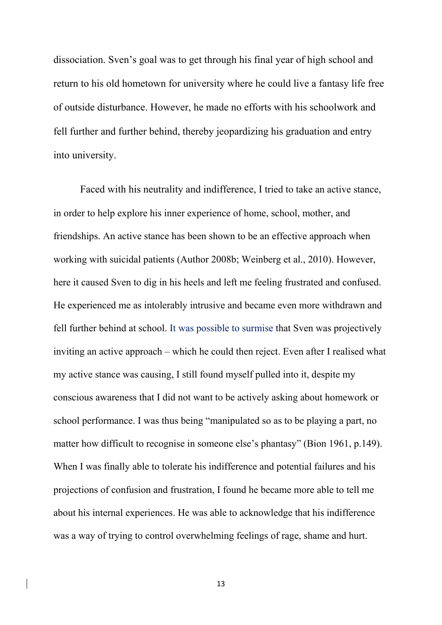dissociation. Sven's goal was to get through his final year of high school and return to his old hometown for university where he could live a fantasy life free of outside disturbance. However, he made no efforts with his schoolwork and fell further and further behind, thereby jeopardizing his graduation and entry into university.

 Faced with his neutrality and indifference, I tried to take an active stance, in order to help explore his inner experience of home, school, mother, and friendships. An active stance has been shown to be an effective approach when working with suicidal patients (Author 2008b; Weinberg et al., 2010). However, here it caused Sven to dig in his heels and left me feeling frustrated and confused. He experienced me as intolerably intrusive and became even more withdrawn and fell further behind at school. It was possible to surmise that Sven was projectively inviting an active approach – which he could then reject. Even after I realised what my active stance was causing, I still found myself pulled into it, despite my conscious awareness that I did not want to be actively asking about homework or school performance. I was thus being "manipulated so as to be playing a part, no matter how difficult to recognise in someone else's phantasy" (Bion 1961, p.149). When I was finally able to tolerate his indifference and potential failures and his projections of confusion and frustration, I found he became more able to tell me about his internal experiences. He was able to acknowledge that his indifference was a way of trying to control overwhelming feelings of rage, shame and hurt.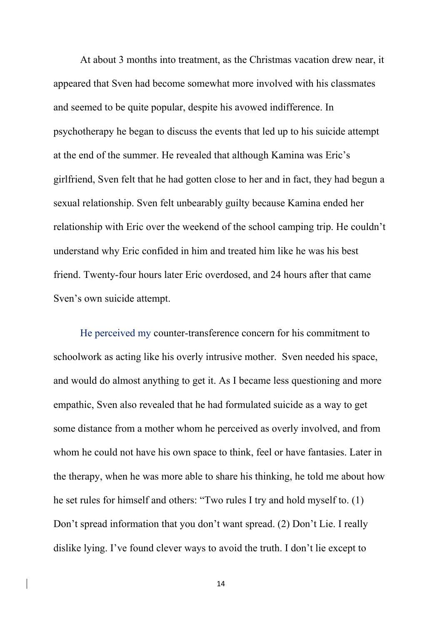At about 3 months into treatment, as the Christmas vacation drew near, it appeared that Sven had become somewhat more involved with his classmates and seemed to be quite popular, despite his avowed indifference. In psychotherapy he began to discuss the events that led up to his suicide attempt at the end of the summer. He revealed that although Kamina was Eric's girlfriend, Sven felt that he had gotten close to her and in fact, they had begun a sexual relationship. Sven felt unbearably guilty because Kamina ended her relationship with Eric over the weekend of the school camping trip. He couldn't understand why Eric confided in him and treated him like he was his best friend. Twenty-four hours later Eric overdosed, and 24 hours after that came Sven's own suicide attempt.

He perceived my counter-transference concern for his commitment to schoolwork as acting like his overly intrusive mother. Sven needed his space, and would do almost anything to get it. As I became less questioning and more empathic, Sven also revealed that he had formulated suicide as a way to get some distance from a mother whom he perceived as overly involved, and from whom he could not have his own space to think, feel or have fantasies. Later in the therapy, when he was more able to share his thinking, he told me about how he set rules for himself and others: "Two rules I try and hold myself to. (1) Don't spread information that you don't want spread. (2) Don't Lie. I really dislike lying. I've found clever ways to avoid the truth. I don't lie except to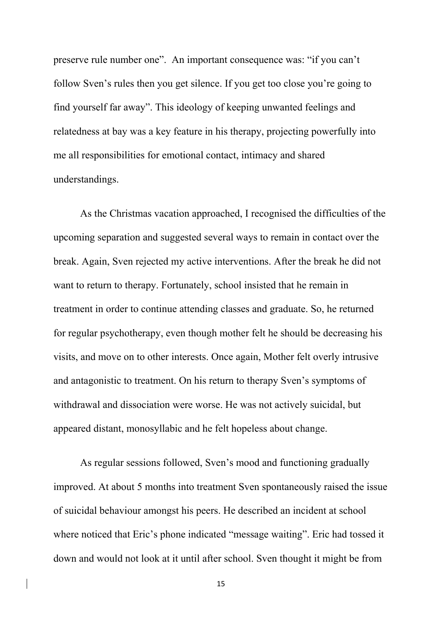preserve rule number one". An important consequence was: "if you can't follow Sven's rules then you get silence. If you get too close you're going to find yourself far away". This ideology of keeping unwanted feelings and relatedness at bay was a key feature in his therapy, projecting powerfully into me all responsibilities for emotional contact, intimacy and shared understandings.

 As the Christmas vacation approached, I recognised the difficulties of the upcoming separation and suggested several ways to remain in contact over the break. Again, Sven rejected my active interventions. After the break he did not want to return to therapy. Fortunately, school insisted that he remain in treatment in order to continue attending classes and graduate. So, he returned for regular psychotherapy, even though mother felt he should be decreasing his visits, and move on to other interests. Once again, Mother felt overly intrusive and antagonistic to treatment. On his return to therapy Sven's symptoms of withdrawal and dissociation were worse. He was not actively suicidal, but appeared distant, monosyllabic and he felt hopeless about change.

 As regular sessions followed, Sven's mood and functioning gradually improved. At about 5 months into treatment Sven spontaneously raised the issue of suicidal behaviour amongst his peers. He described an incident at school where noticed that Eric's phone indicated "message waiting". Eric had tossed it down and would not look at it until after school. Sven thought it might be from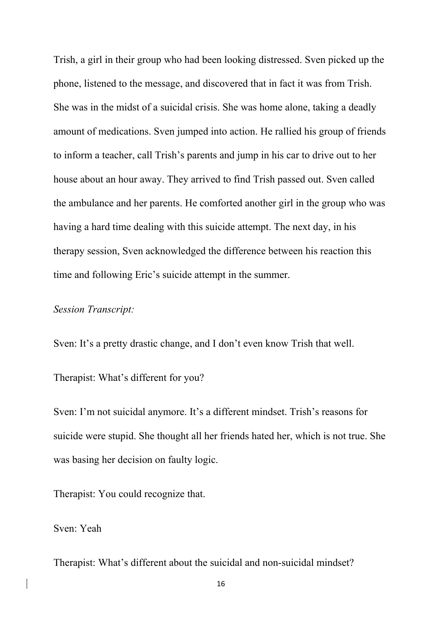Trish, a girl in their group who had been looking distressed. Sven picked up the phone, listened to the message, and discovered that in fact it was from Trish. She was in the midst of a suicidal crisis. She was home alone, taking a deadly amount of medications. Sven jumped into action. He rallied his group of friends to inform a teacher, call Trish's parents and jump in his car to drive out to her house about an hour away. They arrived to find Trish passed out. Sven called the ambulance and her parents. He comforted another girl in the group who was having a hard time dealing with this suicide attempt. The next day, in his therapy session, Sven acknowledged the difference between his reaction this time and following Eric's suicide attempt in the summer.

## *Session Transcript:*

Sven: It's a pretty drastic change, and I don't even know Trish that well.

Therapist: What's different for you?

Sven: I'm not suicidal anymore. It's a different mindset. Trish's reasons for suicide were stupid. She thought all her friends hated her, which is not true. She was basing her decision on faulty logic.

Therapist: You could recognize that.

Sven: Yeah

Therapist: What's different about the suicidal and non-suicidal mindset?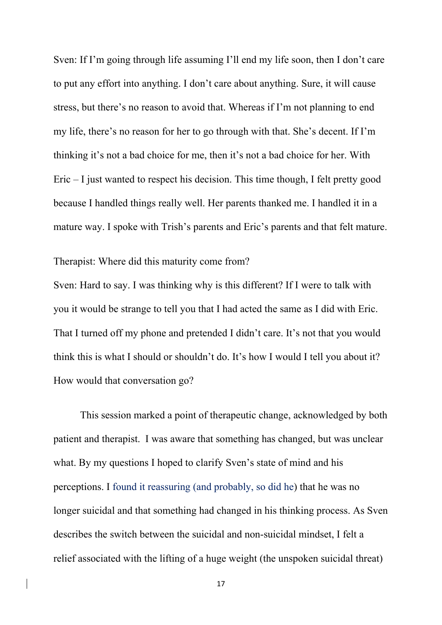Sven: If I'm going through life assuming I'll end my life soon, then I don't care to put any effort into anything. I don't care about anything. Sure, it will cause stress, but there's no reason to avoid that. Whereas if I'm not planning to end my life, there's no reason for her to go through with that. She's decent. If I'm thinking it's not a bad choice for me, then it's not a bad choice for her. With Eric – I just wanted to respect his decision. This time though, I felt pretty good because I handled things really well. Her parents thanked me. I handled it in a mature way. I spoke with Trish's parents and Eric's parents and that felt mature.

Therapist: Where did this maturity come from?

Sven: Hard to say. I was thinking why is this different? If I were to talk with you it would be strange to tell you that I had acted the same as I did with Eric. That I turned off my phone and pretended I didn't care. It's not that you would think this is what I should or shouldn't do. It's how I would I tell you about it? How would that conversation go?

 This session marked a point of therapeutic change, acknowledged by both patient and therapist. I was aware that something has changed, but was unclear what. By my questions I hoped to clarify Sven's state of mind and his perceptions. I found it reassuring (and probably, so did he) that he was no longer suicidal and that something had changed in his thinking process. As Sven describes the switch between the suicidal and non-suicidal mindset, I felt a relief associated with the lifting of a huge weight (the unspoken suicidal threat)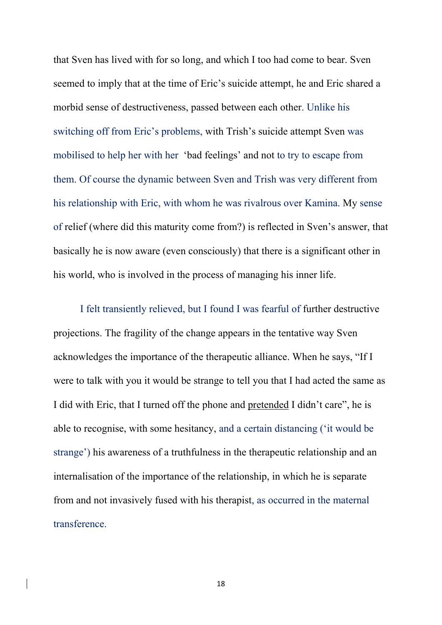that Sven has lived with for so long, and which I too had come to bear. Sven seemed to imply that at the time of Eric's suicide attempt, he and Eric shared a morbid sense of destructiveness, passed between each other. Unlike his switching off from Eric's problems, with Trish's suicide attempt Sven was mobilised to help her with her 'bad feelings' and not to try to escape from them. Of course the dynamic between Sven and Trish was very different from his relationship with Eric, with whom he was rivalrous over Kamina. My sense of relief (where did this maturity come from?) is reflected in Sven's answer, that basically he is now aware (even consciously) that there is a significant other in his world, who is involved in the process of managing his inner life.

I felt transiently relieved, but I found I was fearful of further destructive projections. The fragility of the change appears in the tentative way Sven acknowledges the importance of the therapeutic alliance. When he says, "If I were to talk with you it would be strange to tell you that I had acted the same as I did with Eric, that I turned off the phone and pretended I didn't care", he is able to recognise, with some hesitancy, and a certain distancing ('it would be strange') his awareness of a truthfulness in the therapeutic relationship and an internalisation of the importance of the relationship, in which he is separate from and not invasively fused with his therapist, as occurred in the maternal transference.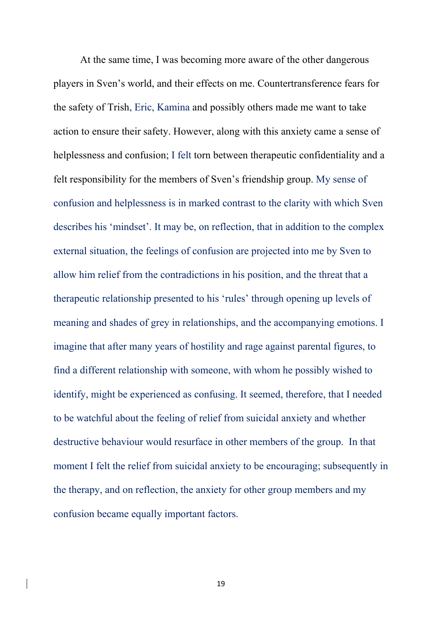At the same time, I was becoming more aware of the other dangerous players in Sven's world, and their effects on me. Countertransference fears for the safety of Trish, Eric, Kamina and possibly others made me want to take action to ensure their safety. However, along with this anxiety came a sense of helplessness and confusion; I felt torn between therapeutic confidentiality and a felt responsibility for the members of Sven's friendship group. My sense of confusion and helplessness is in marked contrast to the clarity with which Sven describes his 'mindset'. It may be, on reflection, that in addition to the complex external situation, the feelings of confusion are projected into me by Sven to allow him relief from the contradictions in his position, and the threat that a therapeutic relationship presented to his 'rules' through opening up levels of meaning and shades of grey in relationships, and the accompanying emotions. I imagine that after many years of hostility and rage against parental figures, to find a different relationship with someone, with whom he possibly wished to identify, might be experienced as confusing. It seemed, therefore, that I needed to be watchful about the feeling of relief from suicidal anxiety and whether destructive behaviour would resurface in other members of the group. In that moment I felt the relief from suicidal anxiety to be encouraging; subsequently in the therapy, and on reflection, the anxiety for other group members and my confusion became equally important factors.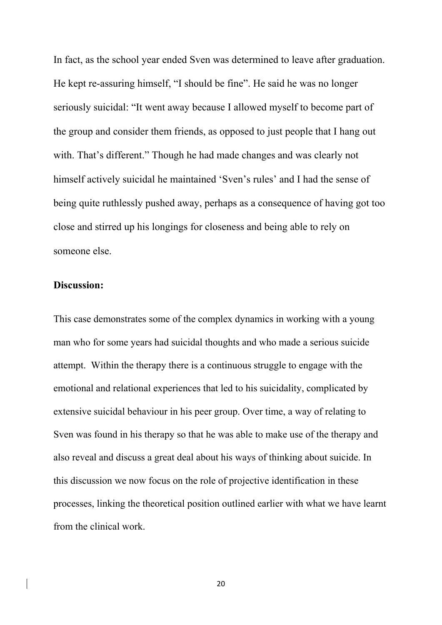In fact, as the school year ended Sven was determined to leave after graduation. He kept re-assuring himself, "I should be fine". He said he was no longer seriously suicidal: "It went away because I allowed myself to become part of the group and consider them friends, as opposed to just people that I hang out with. That's different." Though he had made changes and was clearly not himself actively suicidal he maintained 'Sven's rules' and I had the sense of being quite ruthlessly pushed away, perhaps as a consequence of having got too close and stirred up his longings for closeness and being able to rely on someone else.

## **Discussion:**

This case demonstrates some of the complex dynamics in working with a young man who for some years had suicidal thoughts and who made a serious suicide attempt. Within the therapy there is a continuous struggle to engage with the emotional and relational experiences that led to his suicidality, complicated by extensive suicidal behaviour in his peer group. Over time, a way of relating to Sven was found in his therapy so that he was able to make use of the therapy and also reveal and discuss a great deal about his ways of thinking about suicide. In this discussion we now focus on the role of projective identification in these processes, linking the theoretical position outlined earlier with what we have learnt from the clinical work.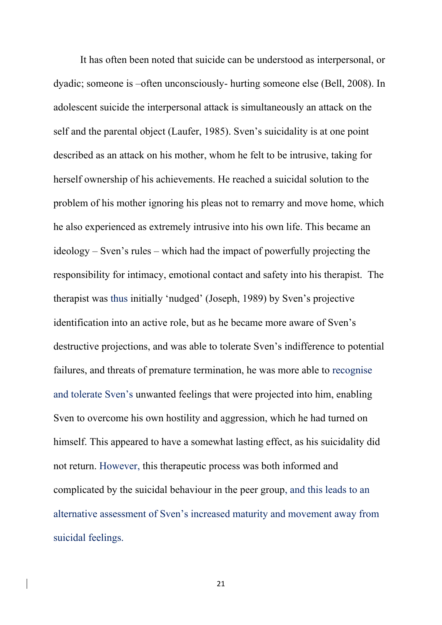It has often been noted that suicide can be understood as interpersonal, or dyadic; someone is –often unconsciously- hurting someone else (Bell, 2008). In adolescent suicide the interpersonal attack is simultaneously an attack on the self and the parental object (Laufer, 1985). Sven's suicidality is at one point described as an attack on his mother, whom he felt to be intrusive, taking for herself ownership of his achievements. He reached a suicidal solution to the problem of his mother ignoring his pleas not to remarry and move home, which he also experienced as extremely intrusive into his own life. This became an ideology – Sven's rules – which had the impact of powerfully projecting the responsibility for intimacy, emotional contact and safety into his therapist. The therapist was thus initially 'nudged' (Joseph, 1989) by Sven's projective identification into an active role, but as he became more aware of Sven's destructive projections, and was able to tolerate Sven's indifference to potential failures, and threats of premature termination, he was more able to recognise and tolerate Sven's unwanted feelings that were projected into him, enabling Sven to overcome his own hostility and aggression, which he had turned on himself. This appeared to have a somewhat lasting effect, as his suicidality did not return. However, this therapeutic process was both informed and complicated by the suicidal behaviour in the peer group, and this leads to an alternative assessment of Sven's increased maturity and movement away from suicidal feelings.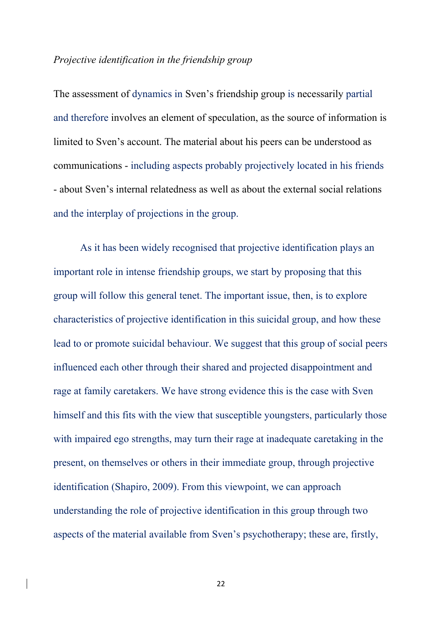## *Projective identification in the friendship group*

The assessment of dynamics in Sven's friendship group is necessarily partial and therefore involves an element of speculation, as the source of information is limited to Sven's account. The material about his peers can be understood as communications - including aspects probably projectively located in his friends - about Sven's internal relatedness as well as about the external social relations and the interplay of projections in the group.

 As it has been widely recognised that projective identification plays an important role in intense friendship groups, we start by proposing that this group will follow this general tenet. The important issue, then, is to explore characteristics of projective identification in this suicidal group, and how these lead to or promote suicidal behaviour. We suggest that this group of social peers influenced each other through their shared and projected disappointment and rage at family caretakers. We have strong evidence this is the case with Sven himself and this fits with the view that susceptible youngsters, particularly those with impaired ego strengths, may turn their rage at inadequate caretaking in the present, on themselves or others in their immediate group, through projective identification (Shapiro, 2009). From this viewpoint, we can approach understanding the role of projective identification in this group through two aspects of the material available from Sven's psychotherapy; these are, firstly,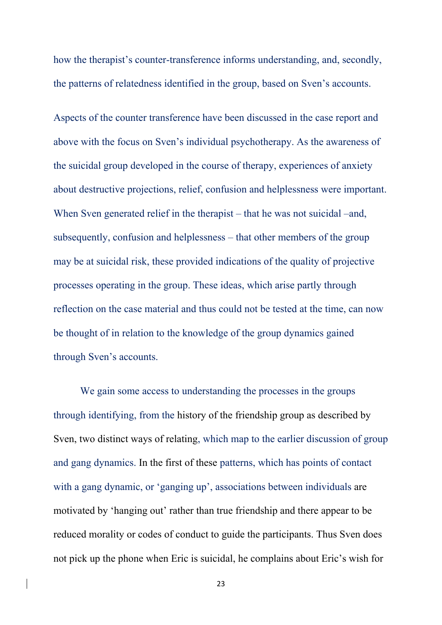how the therapist's counter-transference informs understanding, and, secondly, the patterns of relatedness identified in the group, based on Sven's accounts.

Aspects of the counter transference have been discussed in the case report and above with the focus on Sven's individual psychotherapy. As the awareness of the suicidal group developed in the course of therapy, experiences of anxiety about destructive projections, relief, confusion and helplessness were important. When Sven generated relief in the therapist – that he was not suicidal –and, subsequently, confusion and helplessness – that other members of the group may be at suicidal risk, these provided indications of the quality of projective processes operating in the group. These ideas, which arise partly through reflection on the case material and thus could not be tested at the time, can now be thought of in relation to the knowledge of the group dynamics gained through Sven's accounts.

We gain some access to understanding the processes in the groups through identifying, from the history of the friendship group as described by Sven, two distinct ways of relating, which map to the earlier discussion of group and gang dynamics. In the first of these patterns, which has points of contact with a gang dynamic, or 'ganging up', associations between individuals are motivated by 'hanging out' rather than true friendship and there appear to be reduced morality or codes of conduct to guide the participants. Thus Sven does not pick up the phone when Eric is suicidal, he complains about Eric's wish for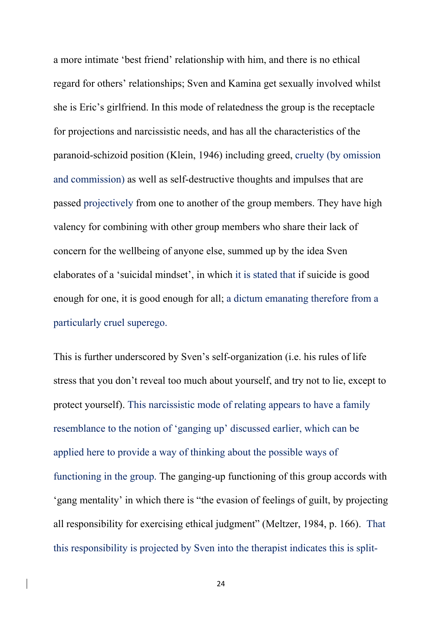a more intimate 'best friend' relationship with him, and there is no ethical regard for others' relationships; Sven and Kamina get sexually involved whilst she is Eric's girlfriend. In this mode of relatedness the group is the receptacle for projections and narcissistic needs, and has all the characteristics of the paranoid-schizoid position (Klein, 1946) including greed, cruelty (by omission and commission) as well as self-destructive thoughts and impulses that are passed projectively from one to another of the group members. They have high valency for combining with other group members who share their lack of concern for the wellbeing of anyone else, summed up by the idea Sven elaborates of a 'suicidal mindset', in which it is stated that if suicide is good enough for one, it is good enough for all; a dictum emanating therefore from a particularly cruel superego.

This is further underscored by Sven's self-organization (i.e. his rules of life stress that you don't reveal too much about yourself, and try not to lie, except to protect yourself). This narcissistic mode of relating appears to have a family resemblance to the notion of 'ganging up' discussed earlier, which can be applied here to provide a way of thinking about the possible ways of functioning in the group. The ganging-up functioning of this group accords with 'gang mentality' in which there is "the evasion of feelings of guilt, by projecting all responsibility for exercising ethical judgment" (Meltzer, 1984, p. 166). That this responsibility is projected by Sven into the therapist indicates this is split-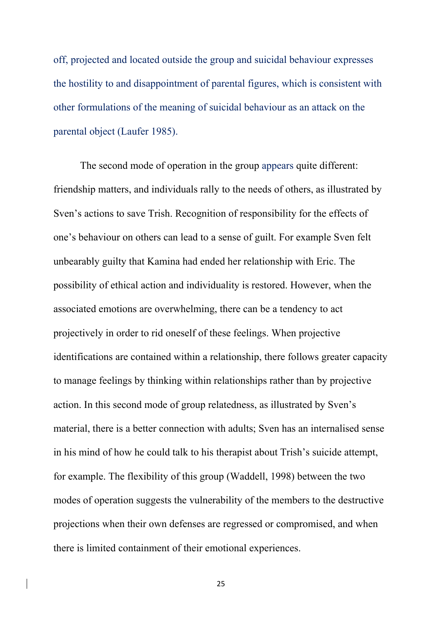off, projected and located outside the group and suicidal behaviour expresses the hostility to and disappointment of parental figures, which is consistent with other formulations of the meaning of suicidal behaviour as an attack on the parental object (Laufer 1985).

 The second mode of operation in the group appears quite different: friendship matters, and individuals rally to the needs of others, as illustrated by Sven's actions to save Trish. Recognition of responsibility for the effects of one's behaviour on others can lead to a sense of guilt. For example Sven felt unbearably guilty that Kamina had ended her relationship with Eric. The possibility of ethical action and individuality is restored. However, when the associated emotions are overwhelming, there can be a tendency to act projectively in order to rid oneself of these feelings. When projective identifications are contained within a relationship, there follows greater capacity to manage feelings by thinking within relationships rather than by projective action. In this second mode of group relatedness, as illustrated by Sven's material, there is a better connection with adults; Sven has an internalised sense in his mind of how he could talk to his therapist about Trish's suicide attempt, for example. The flexibility of this group (Waddell, 1998) between the two modes of operation suggests the vulnerability of the members to the destructive projections when their own defenses are regressed or compromised, and when there is limited containment of their emotional experiences.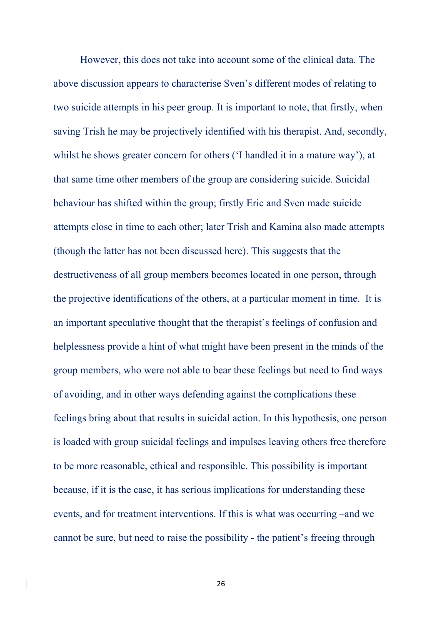However, this does not take into account some of the clinical data. The above discussion appears to characterise Sven's different modes of relating to two suicide attempts in his peer group. It is important to note, that firstly, when saving Trish he may be projectively identified with his therapist. And, secondly, whilst he shows greater concern for others ('I handled it in a mature way'), at that same time other members of the group are considering suicide. Suicidal behaviour has shifted within the group; firstly Eric and Sven made suicide attempts close in time to each other; later Trish and Kamina also made attempts (though the latter has not been discussed here). This suggests that the destructiveness of all group members becomes located in one person, through the projective identifications of the others, at a particular moment in time. It is an important speculative thought that the therapist's feelings of confusion and helplessness provide a hint of what might have been present in the minds of the group members, who were not able to bear these feelings but need to find ways of avoiding, and in other ways defending against the complications these feelings bring about that results in suicidal action. In this hypothesis, one person is loaded with group suicidal feelings and impulses leaving others free therefore to be more reasonable, ethical and responsible. This possibility is important because, if it is the case, it has serious implications for understanding these events, and for treatment interventions. If this is what was occurring –and we cannot be sure, but need to raise the possibility - the patient's freeing through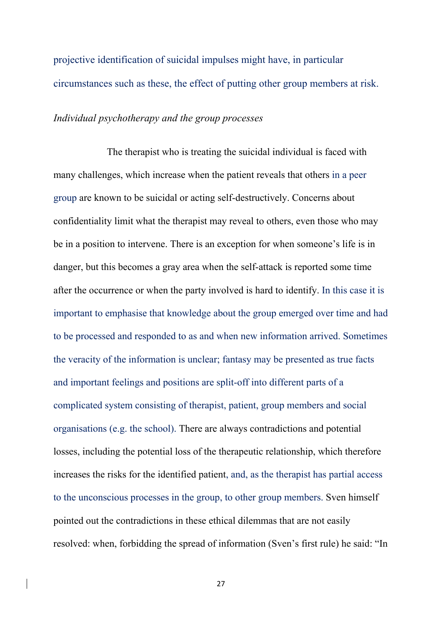projective identification of suicidal impulses might have, in particular circumstances such as these, the effect of putting other group members at risk.

#### *Individual psychotherapy and the group processes*

 The therapist who is treating the suicidal individual is faced with many challenges, which increase when the patient reveals that others in a peer group are known to be suicidal or acting self-destructively. Concerns about confidentiality limit what the therapist may reveal to others, even those who may be in a position to intervene. There is an exception for when someone's life is in danger, but this becomes a gray area when the self-attack is reported some time after the occurrence or when the party involved is hard to identify. In this case it is important to emphasise that knowledge about the group emerged over time and had to be processed and responded to as and when new information arrived. Sometimes the veracity of the information is unclear; fantasy may be presented as true facts and important feelings and positions are split-off into different parts of a complicated system consisting of therapist, patient, group members and social organisations (e.g. the school). There are always contradictions and potential losses, including the potential loss of the therapeutic relationship, which therefore increases the risks for the identified patient, and, as the therapist has partial access to the unconscious processes in the group, to other group members. Sven himself pointed out the contradictions in these ethical dilemmas that are not easily resolved: when, forbidding the spread of information (Sven's first rule) he said: "In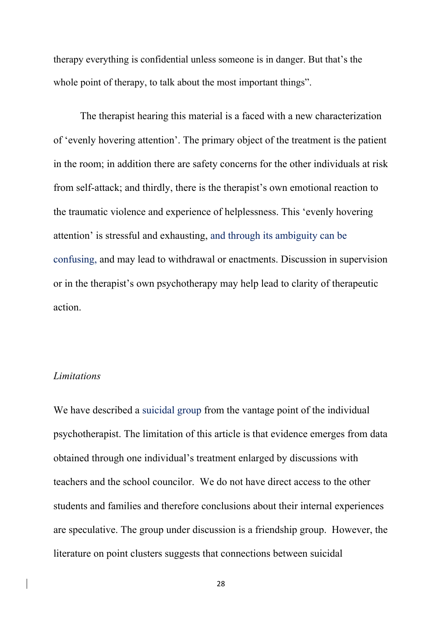therapy everything is confidential unless someone is in danger. But that's the whole point of therapy, to talk about the most important things".

 The therapist hearing this material is a faced with a new characterization of 'evenly hovering attention'. The primary object of the treatment is the patient in the room; in addition there are safety concerns for the other individuals at risk from self-attack; and thirdly, there is the therapist's own emotional reaction to the traumatic violence and experience of helplessness. This 'evenly hovering attention' is stressful and exhausting, and through its ambiguity can be confusing, and may lead to withdrawal or enactments. Discussion in supervision or in the therapist's own psychotherapy may help lead to clarity of therapeutic action.

#### *Limitations*

We have described a suicidal group from the vantage point of the individual psychotherapist. The limitation of this article is that evidence emerges from data obtained through one individual's treatment enlarged by discussions with teachers and the school councilor. We do not have direct access to the other students and families and therefore conclusions about their internal experiences are speculative. The group under discussion is a friendship group. However, the literature on point clusters suggests that connections between suicidal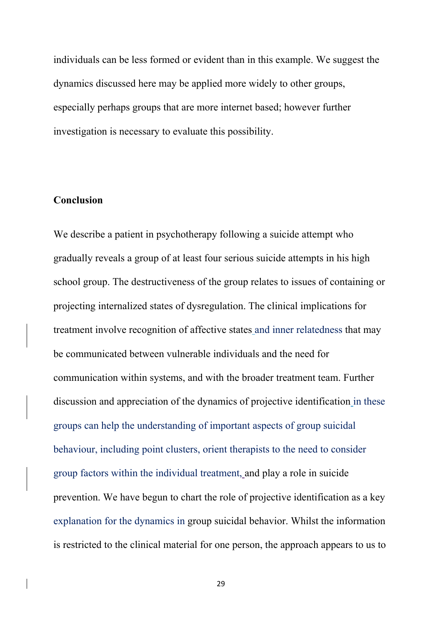individuals can be less formed or evident than in this example. We suggest the dynamics discussed here may be applied more widely to other groups, especially perhaps groups that are more internet based; however further investigation is necessary to evaluate this possibility.

## **Conclusion**

We describe a patient in psychotherapy following a suicide attempt who gradually reveals a group of at least four serious suicide attempts in his high school group. The destructiveness of the group relates to issues of containing or projecting internalized states of dysregulation. The clinical implications for treatment involve recognition of affective states and inner relatedness that may be communicated between vulnerable individuals and the need for communication within systems, and with the broader treatment team. Further discussion and appreciation of the dynamics of projective identification in these groups can help the understanding of important aspects of group suicidal behaviour, including point clusters, orient therapists to the need to consider group factors within the individual treatment, and play a role in suicide prevention. We have begun to chart the role of projective identification as a key explanation for the dynamics in group suicidal behavior. Whilst the information is restricted to the clinical material for one person, the approach appears to us to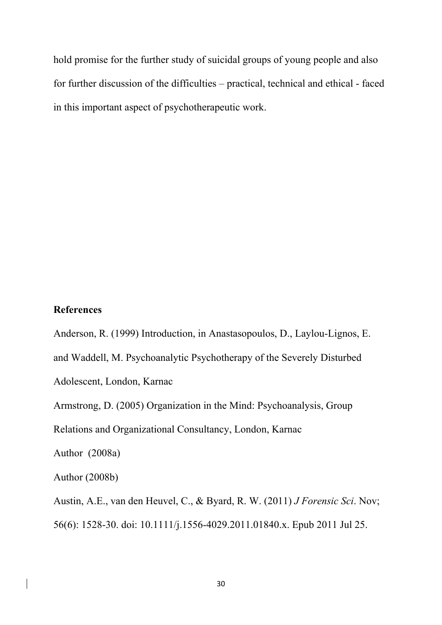hold promise for the further study of suicidal groups of young people and also for further discussion of the difficulties – practical, technical and ethical - faced in this important aspect of psychotherapeutic work.

## **References**

Anderson, R. (1999) Introduction, in Anastasopoulos, D., Laylou-Lignos, E.

and Waddell, M. Psychoanalytic Psychotherapy of the Severely Disturbed

Adolescent, London, Karnac

Armstrong, D. (2005) Organization in the Mind: Psychoanalysis, Group

Relations and Organizational Consultancy, London, Karnac

Author (2008a)

Author (2008b)

Austin, A.E., van den Heuvel, C., & Byard, R. W. (2011) *J Forensic Sci*. Nov; 56(6): 1528-30. doi: 10.1111/j.1556-4029.2011.01840.x. Epub 2011 Jul 25.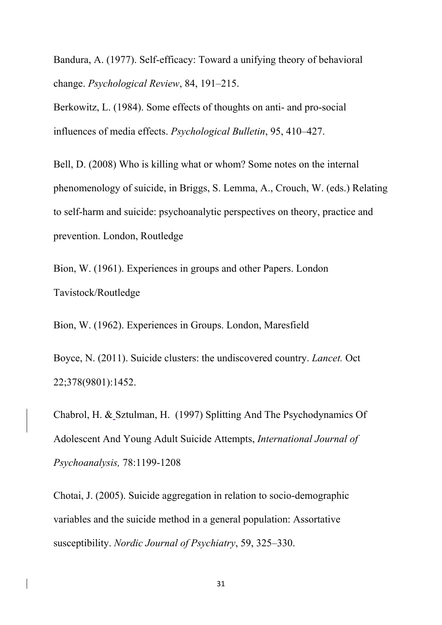Bandura, A. (1977). Self-efficacy: Toward a unifying theory of behavioral change. *Psychological Review*, 84, 191–215.

Berkowitz, L. (1984). Some effects of thoughts on anti- and pro-social influences of media effects. *Psychological Bulletin*, 95, 410–427.

Bell, D. (2008) Who is killing what or whom? Some notes on the internal phenomenology of suicide, in Briggs, S. Lemma, A., Crouch, W. (eds.) Relating to self-harm and suicide: psychoanalytic perspectives on theory, practice and prevention. London, Routledge

Bion, W. (1961). Experiences in groups and other Papers. London Tavistock/Routledge

Bion, W. (1962). Experiences in Groups. London, Maresfield

Boyce, N. (2011). Suicide clusters: the undiscovered country. *Lancet.* Oct 22;378(9801):1452.

Chabrol, H. & Sztulman, H. (1997) Splitting And The Psychodynamics Of Adolescent And Young Adult Suicide Attempts, *International Journal of Psychoanalysis,* 78:1199-1208

Chotai, J. (2005). Suicide aggregation in relation to socio-demographic variables and the suicide method in a general population: Assortative susceptibility. *Nordic Journal of Psychiatry*, 59, 325–330.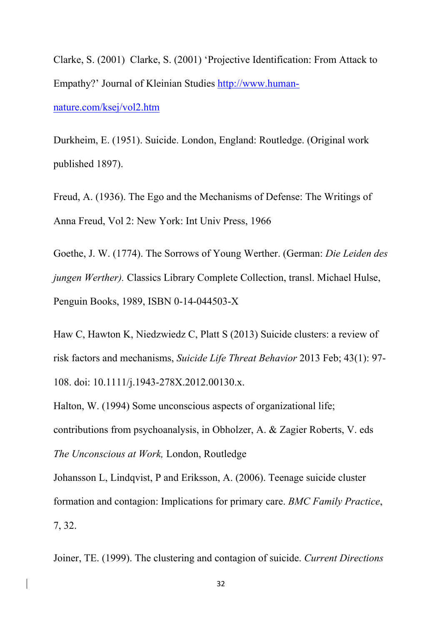Clarke, S. (2001) Clarke, S. (2001) 'Projective Identification: From Attack to Empathy?' Journal of Kleinian Studies http://www.humannature.com/ksej/vol2.htm

Durkheim, E. (1951). Suicide. London, England: Routledge. (Original work published 1897).

Freud, A. (1936). The Ego and the Mechanisms of Defense: The Writings of Anna Freud, Vol 2: New York: Int Univ Press, 1966

Goethe, J. W. (1774). The Sorrows of Young Werther. (German: *Die Leiden des jungen Werther).* Classics Library Complete Collection, transl. Michael Hulse, Penguin Books, 1989, ISBN 0-14-044503-X

Haw C, Hawton K, Niedzwiedz C, Platt S (2013) Suicide clusters: a review of risk factors and mechanisms, *Suicide Life Threat Behavior* 2013 Feb; 43(1): 97- 108. doi: 10.1111/j.1943-278X.2012.00130.x.

Halton, W. (1994) Some unconscious aspects of organizational life; contributions from psychoanalysis, in Obholzer, A. & Zagier Roberts, V. eds *The Unconscious at Work,* London, Routledge

Johansson L, Lindqvist, P and Eriksson, A. (2006). Teenage suicide cluster formation and contagion: Implications for primary care. *BMC Family Practice*, 7, 32.

Joiner, TE. (1999). The clustering and contagion of suicide. *Current Directions*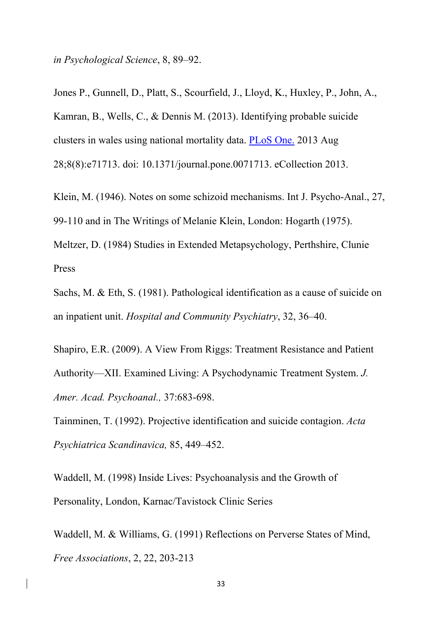*in Psychological Science*, 8, 89–92.

Jones P., Gunnell, D., Platt, S., Scourfield, J., Lloyd, K., Huxley, P., John, A., Kamran, B., Wells, C., & Dennis M. (2013). Identifying probable suicide clusters in wales using national mortality data. PLoS One. 2013 Aug 28;8(8):e71713. doi: 10.1371/journal.pone.0071713. eCollection 2013.

Klein, M. (1946). Notes on some schizoid mechanisms. Int J. Psycho-Anal., 27,

99-110 and in The Writings of Melanie Klein, London: Hogarth (1975).

Meltzer, D. (1984) Studies in Extended Metapsychology, Perthshire, Clunie Press

Sachs, M. & Eth, S. (1981). Pathological identification as a cause of suicide on an inpatient unit. *Hospital and Community Psychiatry*, 32, 36–40.

Shapiro, E.R. (2009). A View From Riggs: Treatment Resistance and Patient Authority—XII. Examined Living: A Psychodynamic Treatment System. *J. Amer. Acad. Psychoanal.,* 37:683-698.

Tainminen, T. (1992). Projective identification and suicide contagion. *Acta Psychiatrica Scandinavica,* 85, 449–452.

Waddell, M. (1998) Inside Lives: Psychoanalysis and the Growth of Personality, London, Karnac/Tavistock Clinic Series

Waddell, M. & Williams, G. (1991) Reflections on Perverse States of Mind, *Free Associations*, 2, 22, 203-213